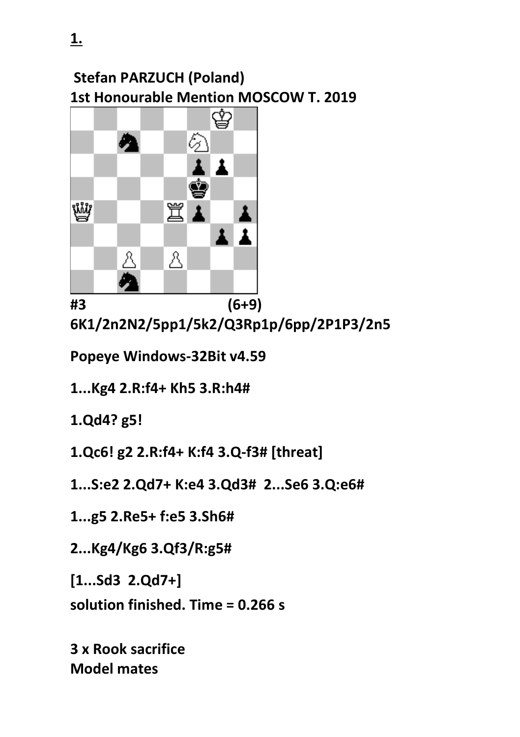## **Stefan PARZUCH (Poland) 1st Honourable Mention MOSCOW T. 2019**



**#3 (6+9) 6K1/2n2N2/5pp1/5k2/Q3Rp1p/6pp/2P1P3/2n5**

**Popeye Windows-32Bit v4.59** 

**1...Kg4 2.R:f4+ Kh5 3.R:h4#**

**1.Qd4? g5!**

**1.Qc6! g2 2.R:f4+ K:f4 3.Q-f3# [threat]**

**1...S:e2 2.Qd7+ K:e4 3.Qd3# 2...Se6 3.Q:e6#**

**1...g5 2.Re5+ f:e5 3.Sh6#**

**2...Kg4/Kg6 3.Qf3/R:g5#**

**[1...Sd3 2.Qd7+]**

**solution finished. Time = 0.266 s**

**3 x Rook sacrifice Model mates**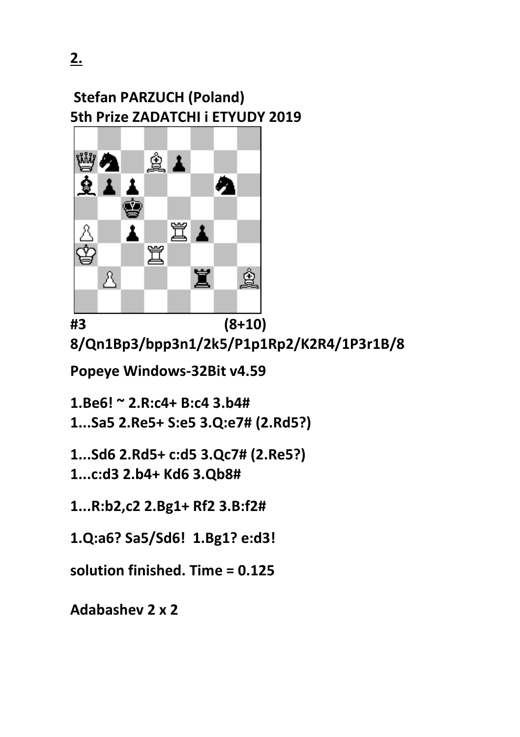**2.** 



**#3 (8+10) 8/Qn1Bp3/bpp3n1/2k5/P1p1Rp2/K2R4/1P3r1B/8**

**Popeye Windows-32Bit v4.59** 

**1.Be6! ~ 2.R:c4+ B:c4 3.b4#**

**1...Sa5 2.Re5+ S:e5 3.Q:e7# (2.Rd5?)**

**1...Sd6 2.Rd5+ c:d5 3.Qc7# (2.Re5?) 1...c:d3 2.b4+ Kd6 3.Qb8#**

**1...R:b2,c2 2.Bg1+ Rf2 3.B:f2#**

**1.Q:a6? Sa5/Sd6! 1.Bg1? e:d3!**

**solution finished. Time = 0.125**

**Adabashev 2 x 2**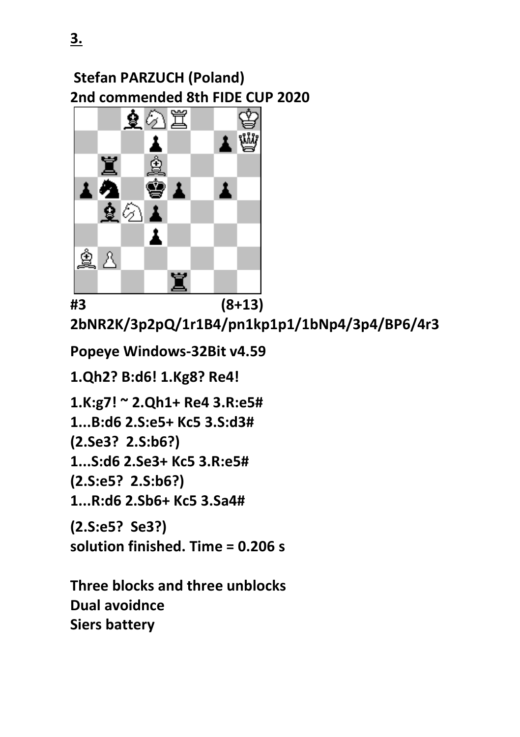## **Stefan PARZUCH (Poland) 2nd commended 8th FIDE CUP 2020**



**#3 (8+13) 2bNR2K/3p2pQ/1r1B4/pn1kp1p1/1bNp4/3p4/BP6/4r3**

**Popeye Windows-32Bit v4.59** 

**1.Qh2? B:d6! 1.Kg8? Re4!**

**1.K:g7! ~ 2.Qh1+ Re4 3.R:e5#**

**1...B:d6 2.S:e5+ Kc5 3.S:d3#**

**(2.Se3? 2.S:b6?)**

**1...S:d6 2.Se3+ Kc5 3.R:e5#**

**(2.S:e5? 2.S:b6?)**

**1...R:d6 2.Sb6+ Kc5 3.Sa4#**

**(2.S:e5? Se3?) solution finished. Time = 0.206 s**

**Three blocks and three unblocks Dual avoidnce Siers battery**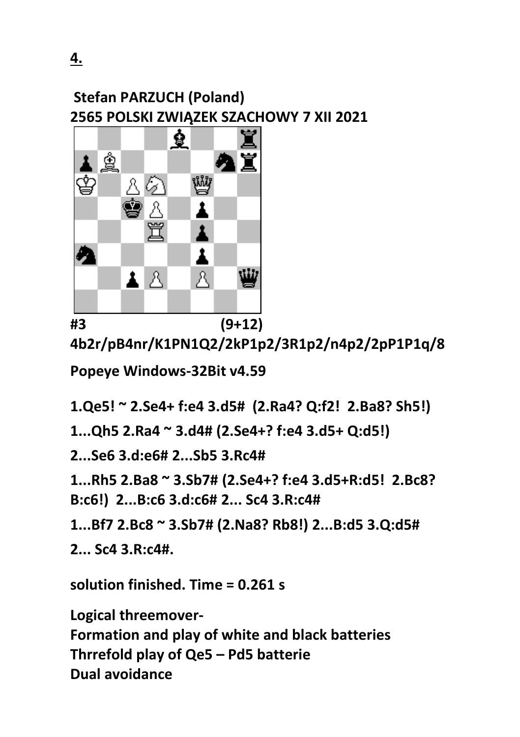

**4b2r/pB4nr/K1PN1Q2/2kP1p2/3R1p2/n4p2/2pP1P1q/8**

**Popeye Windows-32Bit v4.59** 

**1.Qe5! ~ 2.Se4+ f:e4 3.d5# (2.Ra4? Q:f2! 2.Ba8? Sh5!)**

**1...Qh5 2.Ra4 ~ 3.d4# (2.Se4+? f:e4 3.d5+ Q:d5!)**

**2...Se6 3.d:e6# 2...Sb5 3.Rc4#**

**1...Rh5 2.Ba8 ~ 3.Sb7# (2.Se4+? f:e4 3.d5+R:d5! 2.Bc8? B:c6!) 2...B:c6 3.d:c6# 2... Sc4 3.R:c4#**

**1...Bf7 2.Bc8 ~ 3.Sb7# (2.Na8? Rb8!) 2...B:d5 3.Q:d5#**

**2... Sc4 3.R:c4#.**

**solution finished. Time = 0.261 s**

**Logical threemover-**

**Formation and play of white and black batteries Thrrefold play of Qe5 – Pd5 batterie Dual avoidance**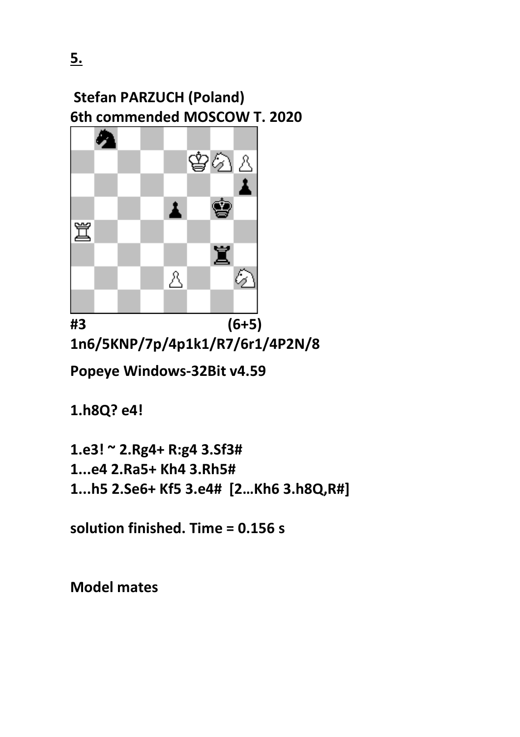## **Stefan PARZUCH (Poland) 6th commended MOSCOW T. 2020**



**#3 (6+5) 1n6/5KNP/7p/4p1k1/R7/6r1/4P2N/8**

**Popeye Windows-32Bit v4.59** 

**1.h8Q? e4!**

**1.e3! ~ 2.Rg4+ R:g4 3.Sf3# 1...e4 2.Ra5+ Kh4 3.Rh5# 1...h5 2.Se6+ Kf5 3.e4# [2…Kh6 3.h8Q,R#]**

**solution finished. Time = 0.156 s**

**Model mates**